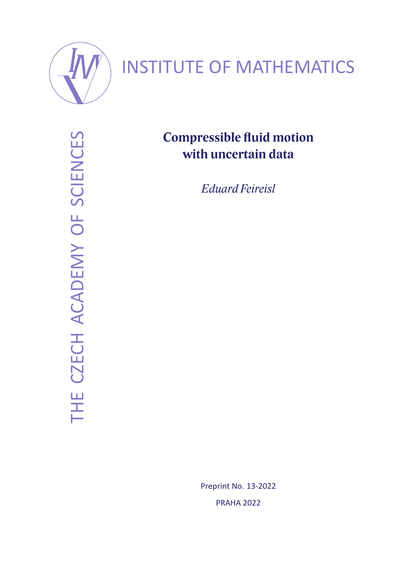

# INSTITUTE OF MATHEMATICS

THE CZECH ACADEMY OF SCIENCES THE CZECH ACADEMY OF SCIENCES

## **Compressible fluid motion with uncertain data**

*Eduard Feireisl*

Preprint No. 13-2022 PRAHA 2022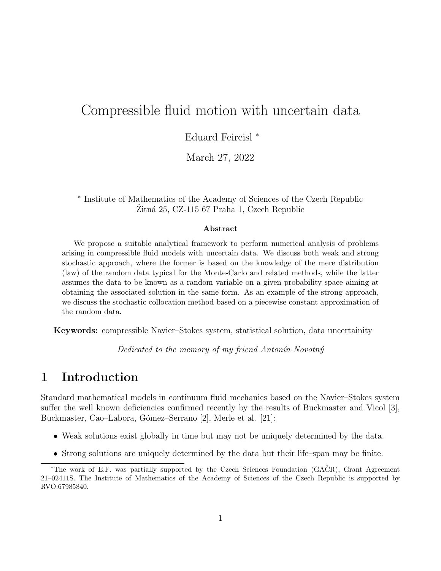## Compressible fluid motion with uncertain data

Eduard Feireisl <sup>∗</sup>

March 27, 2022

∗ Institute of Mathematics of the Academy of Sciences of the Czech Republic  $Zitná 25, CZ-115 67 Praha 1, Czech Republic$ 

#### Abstract

We propose a suitable analytical framework to perform numerical analysis of problems arising in compressible fluid models with uncertain data. We discuss both weak and strong stochastic approach, where the former is based on the knowledge of the mere distribution (law) of the random data typical for the Monte-Carlo and related methods, while the latter assumes the data to be known as a random variable on a given probability space aiming at obtaining the associated solution in the same form. As an example of the strong approach, we discuss the stochastic collocation method based on a piecewise constant approximation of the random data.

Keywords: compressible Navier–Stokes system, statistical solution, data uncertainity

Dedicated to the memory of my friend Antonín Novotný

## 1 Introduction

Standard mathematical models in continuum fluid mechanics based on the Navier–Stokes system suffer the well known deficiencies confirmed recently by the results of Buckmaster and Vicol [3], Buckmaster, Cao–Labora, Gómez–Serrano [2], Merle et al. [21]:

- Weak solutions exist globally in time but may not be uniquely determined by the data.
- Strong solutions are uniquely determined by the data but their life–span may be finite.

<sup>∗</sup>The work of E.F. was partially supported by the Czech Sciences Foundation (GACR), Grant Agreement ˇ 21–02411S. The Institute of Mathematics of the Academy of Sciences of the Czech Republic is supported by RVO:67985840.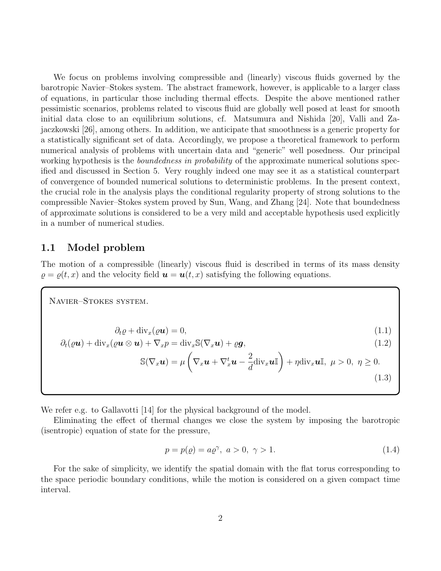We focus on problems involving compressible and (linearly) viscous fluids governed by the barotropic Navier–Stokes system. The abstract framework, however, is applicable to a larger class of equations, in particular those including thermal effects. Despite the above mentioned rather pessimistic scenarios, problems related to viscous fluid are globally well posed at least for smooth initial data close to an equilibrium solutions, cf. Matsumura and Nishida [20], Valli and Zajaczkowski [26], among others. In addition, we anticipate that smoothness is a generic property for a statistically significant set of data. Accordingly, we propose a theoretical framework to perform numerical analysis of problems with uncertain data and "generic" well posedness. Our principal working hypothesis is the *boundedness in probability* of the approximate numerical solutions specified and discussed in Section 5. Very roughly indeed one may see it as a statistical counterpart of convergence of bounded numerical solutions to deterministic problems. In the present context, the crucial role in the analysis plays the conditional regularity property of strong solutions to the compressible Navier–Stokes system proved by Sun, Wang, and Zhang [24]. Note that boundedness of approximate solutions is considered to be a very mild and acceptable hypothesis used explicitly in a number of numerical studies.

#### 1.1 Model problem

The motion of a compressible (linearly) viscous fluid is described in terms of its mass density  $\rho = \rho(t, x)$  and the velocity field  $\mathbf{u} = \mathbf{u}(t, x)$  satisfying the following equations.

Navier–Stokes system.

$$
\partial_t \varrho + \text{div}_x(\varrho \mathbf{u}) = 0,\tag{1.1}
$$

$$
\partial_t(\varrho \mathbf{u}) + \text{div}_x(\varrho \mathbf{u} \otimes \mathbf{u}) + \nabla_x p = \text{div}_x \mathbb{S}(\nabla_x \mathbf{u}) + \varrho \mathbf{g},\tag{1.2}
$$

$$
\mathbb{S}(\nabla_x \mathbf{u}) = \mu \left( \nabla_x \mathbf{u} + \nabla_x^t \mathbf{u} - \frac{2}{d} \text{div}_x \mathbf{u} \mathbb{I} \right) + \eta \text{div}_x \mathbf{u} \mathbb{I}, \ \mu > 0, \ \eta \ge 0.
$$
\n(1.3)

We refer e.g. to Gallavotti [14] for the physical background of the model.

Eliminating the effect of thermal changes we close the system by imposing the barotropic (isentropic) equation of state for the pressure,

$$
p = p(\varrho) = a\varrho^{\gamma}, \ a > 0, \ \gamma > 1.
$$
 (1.4)

For the sake of simplicity, we identify the spatial domain with the flat torus corresponding to the space periodic boundary conditions, while the motion is considered on a given compact time interval.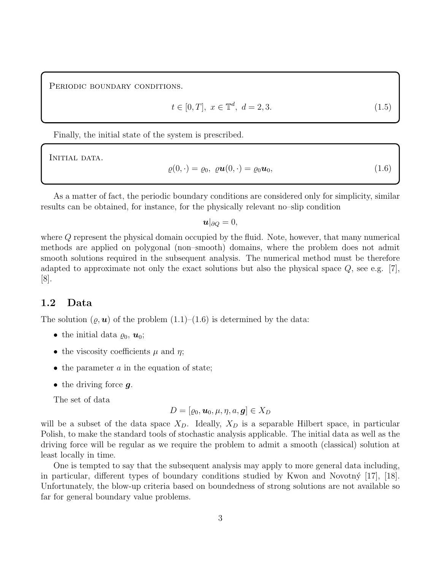PERIODIC BOUNDARY CONDITIONS.

$$
t \in [0, T], \ x \in \mathbb{T}^d, \ d = 2, 3. \tag{1.5}
$$

Finally, the initial state of the system is prescribed.

INITIAL DATA.

$$
\varrho(0,\cdot) = \varrho_0, \ \varrho \mathbf{u}(0,\cdot) = \varrho_0 \mathbf{u}_0,\tag{1.6}
$$

As a matter of fact, the periodic boundary conditions are considered only for simplicity, similar results can be obtained, for instance, for the physically relevant no–slip condition

 $u|_{\partial Q} = 0,$ 

where Q represent the physical domain occupied by the fluid. Note, however, that many numerical methods are applied on polygonal (non–smooth) domains, where the problem does not admit smooth solutions required in the subsequent analysis. The numerical method must be therefore adapted to approximate not only the exact solutions but also the physical space  $Q$ , see e.g. [7], [8].

#### 1.2 Data

The solution  $(\varrho, \mathbf{u})$  of the problem  $(1.1)$ – $(1.6)$  is determined by the data:

- the initial data  $\varrho_0$ ,  $\boldsymbol{u}_0$ ;
- the viscosity coefficients  $\mu$  and  $\eta$ ;
- $\bullet$  the parameter  $a$  in the equation of state;
- the driving force  $q$ .

The set of data

$$
D=[\varrho_0, \boldsymbol{u}_0, \mu, \eta, a, \boldsymbol{g}]\in X_D
$$

will be a subset of the data space  $X_D$ . Ideally,  $X_D$  is a separable Hilbert space, in particular Polish, to make the standard tools of stochastic analysis applicable. The initial data as well as the driving force will be regular as we require the problem to admit a smooth (classical) solution at least locally in time.

One is tempted to say that the subsequent analysis may apply to more general data including, in particular, different types of boundary conditions studied by Kwon and Novotn $\circ$  [17], [18]. Unfortunately, the blow-up criteria based on boundedness of strong solutions are not available so far for general boundary value problems.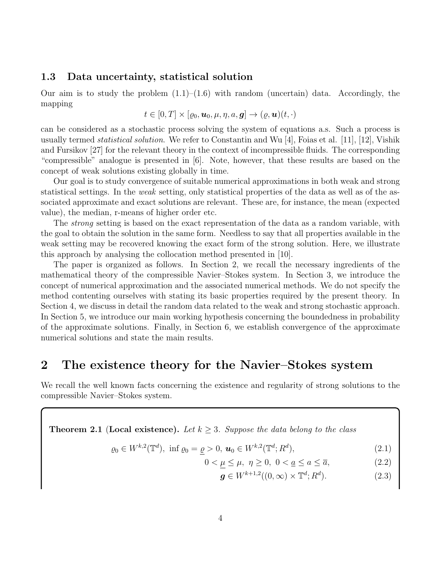#### 1.3 Data uncertainty, statistical solution

Our aim is to study the problem  $(1.1)$ – $(1.6)$  with random (uncertain) data. Accordingly, the mapping

$$
t\in[0,T]\times[\varrho_0,\boldsymbol{u}_0,\mu,\eta,a,\boldsymbol{g}]\to(\varrho,\boldsymbol{u})(t,\cdot)
$$

can be considered as a stochastic process solving the system of equations a.s. Such a process is usually termed *statistical solution*. We refer to Constantin and Wu [4], Foias et al. [11], [12], Vishik and Fursikov [27] for the relevant theory in the context of incompressible fluids. The corresponding "compressible" analogue is presented in [6]. Note, however, that these results are based on the concept of weak solutions existing globally in time.

Our goal is to study convergence of suitable numerical approximations in both weak and strong statistical settings. In the weak setting, only statistical properties of the data as well as of the associated approximate and exact solutions are relevant. These are, for instance, the mean (expected value), the median, r-means of higher order etc.

The strong setting is based on the exact representation of the data as a random variable, with the goal to obtain the solution in the same form. Needless to say that all properties available in the weak setting may be recovered knowing the exact form of the strong solution. Here, we illustrate this approach by analysing the collocation method presented in [10].

The paper is organized as follows. In Section 2, we recall the necessary ingredients of the mathematical theory of the compressible Navier–Stokes system. In Section 3, we introduce the concept of numerical approximation and the associated numerical methods. We do not specify the method contenting ourselves with stating its basic properties required by the present theory. In Section 4, we discuss in detail the random data related to the weak and strong stochastic approach. In Section 5, we introduce our main working hypothesis concerning the boundedness in probability of the approximate solutions. Finally, in Section 6, we establish convergence of the approximate numerical solutions and state the main results.

## 2 The existence theory for the Navier–Stokes system

We recall the well known facts concerning the existence and regularity of strong solutions to the compressible Navier–Stokes system.

**Theorem 2.1** (Local existence). Let  $k \geq 3$ . Suppose the data belong to the class

$$
\varrho_0 \in W^{k,2}(\mathbb{T}^d), \text{ inf } \varrho_0 = \varrho > 0, \ \mathbf{u}_0 \in W^{k,2}(\mathbb{T}^d; R^d), \tag{2.1}
$$

$$
0 < \underline{\mu} \le \mu, \ \eta \ge 0, \ 0 < \underline{a} \le \underline{a} \le \overline{a}, \tag{2.2}
$$

$$
\mathbf{g} \in W^{k+1,2}((0,\infty) \times \mathbb{T}^d; R^d). \tag{2.3}
$$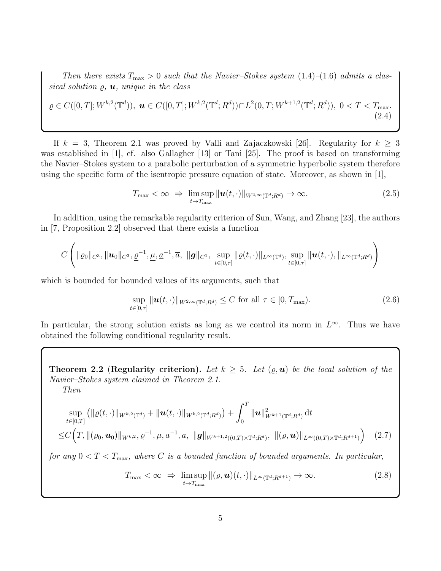Then there exists  $T_{\text{max}} > 0$  such that the Navier–Stokes system  $(1.4)$ – $(1.6)$  admits a classical solution  $\varrho$ ,  $\boldsymbol{u}$ , unique in the class

$$
\varrho \in C([0,T]; W^{k,2}(\mathbb{T}^d)), \ \boldsymbol{u} \in C([0,T]; W^{k,2}(\mathbb{T}^d; R^d)) \cap L^2(0,T; W^{k+1,2}(\mathbb{T}^d; R^d)), \ 0 < T < T_{\text{max}}.\tag{2.4}
$$

If  $k = 3$ , Theorem 2.1 was proved by Valli and Zajaczkowski [26]. Regularity for  $k \geq 3$ was established in [1], cf. also Gallagher [13] or Tani [25]. The proof is based on transforming the Navier–Stokes system to a parabolic perturbation of a symmetric hyperbolic system therefore using the specific form of the isentropic pressure equation of state. Moreover, as shown in [1],

$$
T_{\max} < \infty \;\Rightarrow\; \limsup_{t \to T_{\max}} \|\boldsymbol{u}(t,\cdot)\|_{W^{2,\infty}(\mathbb{T}^d;R^d)} \to \infty. \tag{2.5}
$$

In addition, using the remarkable regularity criterion of Sun, Wang, and Zhang [23], the authors in [7, Proposition 2.2] observed that there exists a function

$$
C\left(\|\varrho_0\|_{C^3}, \|\bm{u}_0\|_{C^3}, \underline{\varrho}^{-1}, \underline{\mu}, \underline{a}^{-1}, \overline{a},\; \|\bm{g}\|_{C^1},\; \sup_{t\in[0,\tau]}\|\varrho(t,\cdot)\|_{L^\infty(\mathbb{T}^d)}, \sup_{t\in[0,\tau]}\|\bm{u}(t,\cdot),\|_{L^\infty(\mathbb{T}^d;R^d)}\right)
$$

which is bounded for bounded values of its arguments, such that

$$
\sup_{t\in[0,\tau]} \|\boldsymbol{u}(t,\cdot)\|_{W^{2,\infty}(\mathbb{T}^d;R^d)} \leq C \text{ for all } \tau\in[0,T_{\text{max}}). \tag{2.6}
$$

In particular, the strong solution exists as long as we control its norm in  $L^{\infty}$ . Thus we have obtained the following conditional regularity result.

Theorem 2.2 (Regularity criterion). Let  $k \geq 5$ . Let  $(\varrho, \mathbf{u})$  be the local solution of the Navier–Stokes system claimed in Theorem 2.1. Then

$$
\sup_{t\in[0,T]} (\|\varrho(t,\cdot)\|_{W^{k,2}(\mathbb{T}^d)} + \|\boldsymbol{u}(t,\cdot)\|_{W^{k,2}(\mathbb{T}^d;R^d)}) + \int_0^T \|\boldsymbol{u}\|_{W^{k+1}(\mathbb{T}^d;R^d)}^2 dt
$$
\n
$$
\leq C\Big(T, \|(\varrho_0,\boldsymbol{u}_0)\|_{W^{k,2},\frac{\rho}{2}} + \sum_{i=1}^n \sum_{j=1}^n \sum_{j=1}^n \|\boldsymbol{g}\|_{W^{k+1,2}((0,T)\times\mathbb{T}^d;R^d)}, \|(\varrho,\boldsymbol{u})\|_{L^{\infty}((0,T)\times\mathbb{T}^d;R^{d+1})}\Big) \quad (2.7)
$$

for any  $0 < T < T<sub>max</sub>$ , where C is a bounded function of bounded arguments. In particular,

$$
T_{\max} < \infty \ \Rightarrow \ \limsup_{t \to T_{\max}} \|( \varrho, \boldsymbol{u})(t, \cdot) \|_{L^\infty(\mathbb{T}^d; R^{d+1})} \to \infty. \tag{2.8}
$$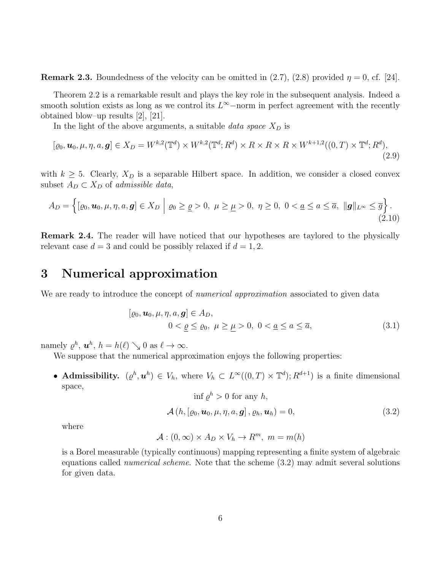**Remark 2.3.** Boundedness of the velocity can be omitted in  $(2.7)$ ,  $(2.8)$  provided  $\eta = 0$ , cf. [24].

Theorem 2.2 is a remarkable result and plays the key role in the subsequent analysis. Indeed a smooth solution exists as long as we control its  $L^{\infty}$ -norm in perfect agreement with the recently obtained blow–up results [2], [21].

In the light of the above arguments, a suitable data space  $X_D$  is

$$
[\varrho_0, \mathbf{u}_0, \mu, \eta, a, \mathbf{g}] \in X_D = W^{k,2}(\mathbb{T}^d) \times W^{k,2}(\mathbb{T}^d; R^d) \times R \times R \times R \times W^{k+1,2}((0,T) \times \mathbb{T}^d; R^d),
$$
\n(2.9)

with  $k \geq 5$ . Clearly,  $X_D$  is a separable Hilbert space. In addition, we consider a closed convex subset  $A_D \subset X_D$  of admissible data,

$$
A_D = \left\{ [\varrho_0, \mathbf{u}_0, \mu, \eta, a, \mathbf{g}] \in X_D \middle| \varrho_0 \geq \underline{\varrho} > 0, \ \mu \geq \underline{\mu} > 0, \ \eta \geq 0, \ 0 < \underline{a} \leq a \leq \overline{a}, \ \|\mathbf{g}\|_{L^\infty} \leq \overline{g} \right\}.
$$
\n
$$
(2.10)
$$

Remark 2.4. The reader will have noticed that our hypotheses are taylored to the physically relevant case  $d = 3$  and could be possibly relaxed if  $d = 1, 2$ .

## 3 Numerical approximation

We are ready to introduce the concept of *numerical approximation* associated to given data

$$
[\varrho_0, \mathbf{u}_0, \mu, \eta, a, \mathbf{g}] \in A_D,
$$
  

$$
0 < \varrho \le \varrho_0, \ \mu \ge \mu > 0, \ 0 < \underline{a} \le \overline{a}, \tag{3.1}
$$

namely  $\varrho^h$ ,  $\boldsymbol{u}^h$ ,  $h = h(\ell) \searrow 0$  as  $\ell \to \infty$ .

We suppose that the numerical approximation enjoys the following properties:

• **Admissibility.**  $(\varrho^h, \mathbf{u}^h) \in V_h$ , where  $V_h \subset L^{\infty}((0,T) \times \mathbb{T}^d)$ ;  $R^{d+1}$  is a finite dimensional space,

$$
\inf \varrho^h > 0 \text{ for any } h,
$$
  

$$
\mathcal{A}(h, [\varrho_0, \mathbf{u}_0, \mu, \eta, a, \mathbf{g}], \varrho_h, \mathbf{u}_h) = 0,
$$
 (3.2)

where

$$
\mathcal{A}: (0, \infty) \times A_D \times V_h \to R^m, \ m = m(h)
$$

is a Borel measurable (typically continuous) mapping representing a finite system of algebraic equations called numerical scheme. Note that the scheme (3.2) may admit several solutions for given data.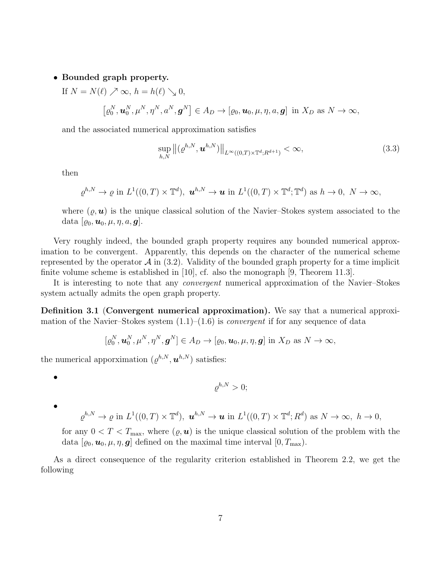#### • Bounded graph property.

If  $N = N(\ell) \nearrow \infty$ ,  $h = h(\ell) \searrow 0$ ,  $\left[\varrho_0^N, \mathbf{u}_0^N, \mu^N, \eta^N, a^N, \mathbf{g}^N\right] \in A_D \to [\varrho_0, \mathbf{u}_0, \mu, \eta, a, \mathbf{g}] \text{ in } X_D \text{ as } N \to \infty,$ 

and the associated numerical approximation satisfies

$$
\sup_{h,N} ||(e^{h,N}, \mathbf{u}^{h,N})||_{L^{\infty}((0,T)\times\mathbb{T}^d; R^{d+1})} < \infty,
$$
\n(3.3)

then

$$
\varrho^{h,N}\to\varrho\text{ in }L^1((0,T)\times\mathbb{T}^d),\ \boldsymbol{u}^{h,N}\to\boldsymbol{u}\text{ in }L^1((0,T)\times\mathbb{T}^d;\mathbb{T}^d)\text{ as }h\to 0,\ N\to\infty,
$$

where  $(\varrho, \mathbf{u})$  is the unique classical solution of the Navier–Stokes system associated to the data  $[\varrho_0, \boldsymbol{u}_0, \mu, \eta, a, \boldsymbol{g}].$ 

Very roughly indeed, the bounded graph property requires any bounded numerical approximation to be convergent. Apparently, this depends on the character of the numerical scheme represented by the operator  $\mathcal A$  in (3.2). Validity of the bounded graph property for a time implicit finite volume scheme is established in [10], cf. also the monograph [9, Theorem 11.3].

It is interesting to note that any convergent numerical approximation of the Navier–Stokes system actually admits the open graph property.

Definition 3.1 (Convergent numerical approximation). We say that a numerical approximation of the Navier–Stokes system  $(1.1)$ – $(1.6)$  is *convergent* if for any sequence of data

$$
[\varrho_0^N, \mathbf{u}_0^N, \mu^N, \eta^N, \mathbf{g}^N] \in A_D \to [\varrho_0, \mathbf{u}_0, \mu, \eta, \mathbf{g}] \text{ in } X_D \text{ as } N \to \infty,
$$

the numerical apporximation  $(\varrho^{h,N}, \boldsymbol{u}^{h,N})$  satisfies:

•

•

$$
\varrho^{h,N} > 0;
$$

$$
\varrho^{h,N}\to\varrho\text{ in }L^1((0,T)\times\mathbb{T}^d),\ \boldsymbol{u}^{h,N}\to\boldsymbol{u}\text{ in }L^1((0,T)\times\mathbb{T}^d;R^d)\text{ as }N\to\infty,\ h\to 0,
$$

for any  $0 < T < T_{\text{max}}$ , where  $(\varrho, \mathbf{u})$  is the unique classical solution of the problem with the data  $[\varrho_0, \mathbf{u}_0, \mu, \eta, \mathbf{g}]$  defined on the maximal time interval  $[0, T_{\text{max}})$ .

As a direct consequence of the regularity criterion established in Theorem 2.2, we get the following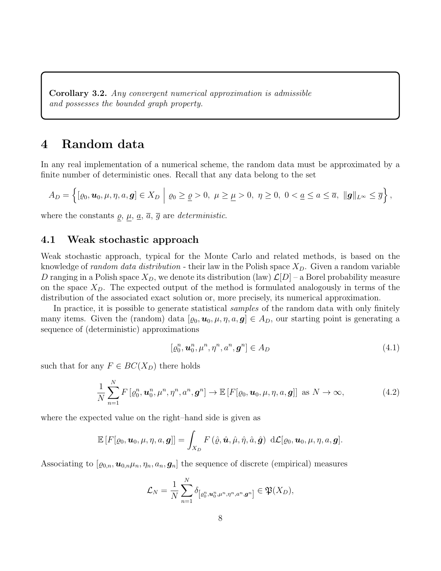Corollary 3.2. Any convergent numerical approximation is admissible and possesses the bounded graph property.

## 4 Random data

In any real implementation of a numerical scheme, the random data must be approximated by a finite number of deterministic ones. Recall that any data belong to the set

$$
A_D = \left\{ [\varrho_0, \boldsymbol{u}_0, \mu, \eta, a, \boldsymbol{g}] \in X_D \middle| \varrho_0 \geq \underline{\varrho} > 0, \ \mu \geq \underline{\mu} > 0, \ \eta \geq 0, \ 0 < \underline{a} \leq a \leq \overline{a}, \ \|\boldsymbol{g}\|_{L^\infty} \leq \overline{g} \right\},
$$

where the constants  $\varrho$ ,  $\mu$ ,  $\overline{a}$ ,  $\overline{g}$  are *deterministic*.

#### 4.1 Weak stochastic approach

Weak stochastic approach, typical for the Monte Carlo and related methods, is based on the knowledge of *random data distribution* - their law in the Polish space  $X_D$ . Given a random variable D ranging in a Polish space  $X_D$ , we denote its distribution (law)  $\mathcal{L}[D]$  – a Borel probability measure on the space  $X_D$ . The expected output of the method is formulated analogously in terms of the distribution of the associated exact solution or, more precisely, its numerical approximation.

In practice, it is possible to generate statistical *samples* of the random data with only finitely many items. Given the (random) data  $[\varrho_0, \mathbf{u}_0, \mu, \eta, a, \mathbf{g}] \in A_D$ , our starting point is generating a sequence of (deterministic) approximations

$$
[\varrho_0^n, \mathbf{u}_0^n, \mu^n, \eta^n, a^n, \mathbf{g}^n] \in A_D \tag{4.1}
$$

such that for any  $F \in BC(X_D)$  there holds

$$
\frac{1}{N} \sum_{n=1}^{N} F\left[\varrho_0^n, \boldsymbol{u}_0^n, \mu^n, \eta^n, a^n, \boldsymbol{g}^n\right] \to \mathbb{E}\left[F\left[\varrho_0, \boldsymbol{u}_0, \mu, \eta, a, \boldsymbol{g}\right]\right] \text{ as } N \to \infty,
$$
\n(4.2)

where the expected value on the right–hand side is given as

$$
\mathbb{E}\left[F[\varrho_0,\boldsymbol{u}_0,\mu,\eta,a,\boldsymbol{g}]\right]=\int_{X_D}F\left(\hat{\varrho},\hat{\boldsymbol{u}},\hat{\mu},\hat{\eta},\hat{a},\hat{\boldsymbol{g}}\right)\,\mathrm{d}\mathcal{L}[\varrho_0,\boldsymbol{u}_0,\mu,\eta,a,\boldsymbol{g}].
$$

Associating to  $[\varrho_{0,n}, \mathbf{u}_{0,n}\mu_n, \eta_n, a_n, \mathbf{g}_n]$  the sequence of discrete (empirical) measures

$$
\mathcal{L}_N = \frac{1}{N} \sum_{n=1}^N \delta_{\left[\varrho_0^n, \mathbf{u}_0^n, \mu^n, \eta^n, a^n, \mathbf{g}^n\right]} \in \mathfrak{P}(X_D),
$$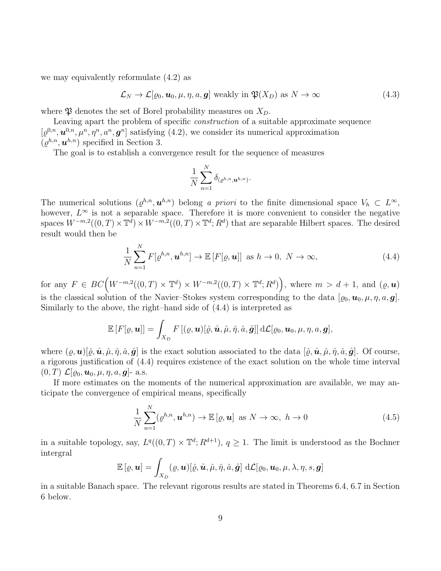we may equivalently reformulate (4.2) as

$$
\mathcal{L}_N \to \mathcal{L}[\varrho_0, \mathbf{u}_0, \mu, \eta, a, \mathbf{g}] \text{ weakly in } \mathfrak{P}(X_D) \text{ as } N \to \infty \tag{4.3}
$$

where  $\mathfrak P$  denotes the set of Borel probability measures on  $X_D$ .

Leaving apart the problem of specific construction of a suitable approximate sequence  $[\varrho^{0,n}, \mathbf{u}^{0,n}, \mu^n, \eta^n, a^n, \mathbf{g}^n]$  satisfying (4.2), we consider its numerical approximation  $(\varrho^{h,n}, \boldsymbol{u}^{h,n})$  specified in Section 3.

The goal is to establish a convergence result for the sequence of measures

$$
\frac{1}{N}\sum_{n=1}^N \delta_{(\varrho^{h,n},\boldsymbol{u}^{h,n})}.
$$

The numerical solutions  $(\varrho^{h,n}, \mathbf{u}^{h,n})$  belong a priori to the finite dimensional space  $V_h \subset L^{\infty}$ , however,  $L^{\infty}$  is not a separable space. Therefore it is more convenient to consider the negative spaces  $W^{-m,2}((0,T)\times \mathbb{T}^d)\times W^{-m,2}((0,T)\times \mathbb{T}^d;R^d)$  that are separable Hilbert spaces. The desired result would then be

$$
\frac{1}{N} \sum_{n=1}^{N} F[\varrho^{h,n}, \boldsymbol{u}^{h,n}] \to \mathbb{E}\left[F[\varrho, \boldsymbol{u}]\right] \text{ as } h \to 0, N \to \infty,
$$
\n(4.4)

for any  $F \in BC(W^{-m,2}((0,T) \times \mathbb{T}^d) \times W^{-m,2}((0,T) \times \mathbb{T}^d; R^d)),$  where  $m > d+1$ , and  $(\varrho, \boldsymbol{u})$ is the classical solution of the Navier–Stokes system corresponding to the data  $[\varrho_0, \pmb{u}_0, \mu, \eta, a, \pmb{g}]$ . Similarly to the above, the right–hand side of (4.4) is interpreted as

$$
\mathbb{E}\left[F[\varrho,\boldsymbol{u}]\right] = \int_{X_D} F\left[(\varrho,\boldsymbol{u})[\hat{\varrho},\hat{\boldsymbol{u}},\hat{\mu},\hat{\eta},\hat{a},\hat{\boldsymbol{g}}]\right] d\mathcal{L}[\varrho_0,\boldsymbol{u}_0,\mu,\eta,a,\boldsymbol{g}],
$$

where  $(\varrho, \mathbf{u})[\hat{\varrho}, \hat{\mathbf{u}}, \hat{\mu}, \hat{\eta}, \hat{a}, \hat{\mathbf{g}}]$  is the exact solution associated to the data  $[\hat{\varrho}, \hat{\mathbf{u}}, \hat{\mu}, \hat{\eta}, \hat{a}, \hat{\mathbf{g}}]$ . Of course, a rigorous justification of (4.4) requires existence of the exact solution on the whole time interval  $(0, T) \mathcal{L}[\varrho_0, \boldsymbol{u}_0, \mu, \eta, a, \boldsymbol{g}]$ - a.s.

If more estimates on the moments of the numerical approximation are available, we may anticipate the convergence of empirical means, specifically

$$
\frac{1}{N} \sum_{n=1}^{N} (\varrho^{h,n}, \boldsymbol{u}^{h,n}) \to \mathbb{E} [\varrho, \boldsymbol{u}] \text{ as } N \to \infty, \ h \to 0 \tag{4.5}
$$

in a suitable topology, say,  $L^q((0,T) \times \mathbb{T}^d; R^{d+1}), q \geq 1$ . The limit is understood as the Bochner intergral

$$
\mathbb{E}\left[\varrho,\boldsymbol{u}\right] = \int_{X_D} (\varrho,\boldsymbol{u})[\hat{\varrho},\hat{\boldsymbol{u}},\hat{\mu},\hat{\eta},\hat{a},\hat{\boldsymbol{g}}] \; d\mathcal{L}[\varrho_0,\boldsymbol{u}_0,\mu,\lambda,\eta,s,\boldsymbol{g}]
$$

in a suitable Banach space. The relevant rigorous results are stated in Theorems 6.4, 6.7 in Section 6 below.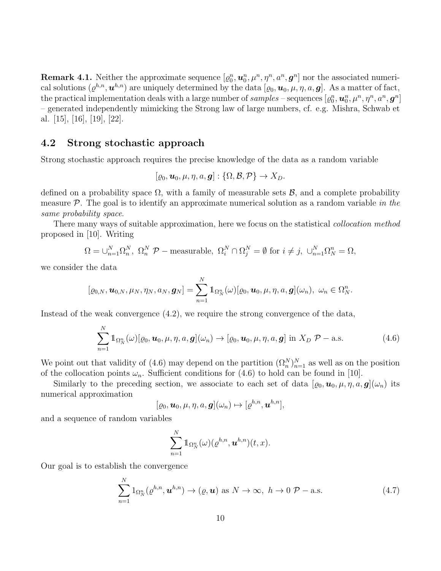**Remark 4.1.** Neither the approximate sequence  $[\varrho_0^n, \pmb{u}_0^n, \mu^n, \eta^n, a^n, \pmb{g}^n]$  nor the associated numerical solutions  $(\varrho^{h,n},\bm{u}^{h,n})$  are uniquely determined by the data  $[\varrho_0,\bm{u}_0,\mu,\eta,a,\bm{g}]$ . As a matter of fact, the practical implementation deals with a large number of  $samples$  – sequences  $[\varrho_0^n, \bm{u}_0^n, \mu^n, \eta^n, a^n, \bm{g}^n]$ – generated independently mimicking the Strong law of large numbers, cf. e.g. Mishra, Schwab et al. [15], [16], [19], [22].

#### 4.2 Strong stochastic approach

Strong stochastic approach requires the precise knowledge of the data as a random variable

$$
[\varrho_0, \boldsymbol{u}_0, \mu, \eta, a, \boldsymbol{g}]: {\Omega, \mathcal{B}, \mathcal{P}} \to X_D.
$$

defined on a probability space  $\Omega$ , with a family of measurable sets  $\mathcal{B}$ , and a complete probability measure  $\mathcal{P}$ . The goal is to identify an approximate numerical solution as a random variable in the same probability space.

There many ways of suitable approximation, here we focus on the statistical *collocation method* proposed in [10]. Writing

$$
\Omega = \bigcup_{n=1}^{N} \Omega_n^N, \ \Omega_n^N \ \mathcal{P} - \text{measurable}, \ \Omega_i^N \cap \Omega_j^N = \emptyset \text{ for } i \neq j, \ \bigcup_{n=1}^{N} \Omega_N^n = \Omega,
$$

we consider the data

$$
[\varrho_{0,N},\boldsymbol{u}_{0,N},\mu_N,\eta_N,a_N,\boldsymbol{g}_N]=\sum_{n=1}^N1\!\!1_{\Omega_N^n}(\omega)[\varrho_0,\boldsymbol{u}_0,\mu,\eta,a,\boldsymbol{g}](\omega_n),\ \omega_n\in\Omega_N^n.
$$

Instead of the weak convergence (4.2), we require the strong convergence of the data,

$$
\sum_{n=1}^{N} \mathbb{1}_{\Omega_N^n}(\omega) [\varrho_0, \boldsymbol{u}_0, \mu, \eta, a, \boldsymbol{g}](\omega_n) \to [\varrho_0, \boldsymbol{u}_0, \mu, \eta, a, \boldsymbol{g}] \text{ in } X_D \ \mathcal{P}-\text{a.s.}
$$
(4.6)

We point out that validity of (4.6) may depend on the partition  $(\Omega_n^N)_{n=1}^N$  as well as on the position of the collocation points  $\omega_n$ . Sufficient conditions for (4.6) to hold can be found in [10].

Similarly to the preceding section, we associate to each set of data  $[\varrho_0, \mathbf{u}_0, \mu, \eta, a, \mathbf{g}](\omega_n)$  its numerical approximation

$$
[\varrho_0, \mathbf{u}_0, \mu, \eta, a, \mathbf{g}](\omega_n) \mapsto [\varrho^{h,n}, \mathbf{u}^{h,n}],
$$

and a sequence of random variables

$$
\sum_{n=1}^N \mathbb{1}_{\Omega_N^n}(\omega) (\varrho^{h,n}, \boldsymbol{u}^{h,n})(t,x).
$$

Our goal is to establish the convergence

$$
\sum_{n=1}^{N} 1_{\Omega_N^n}(\varrho^{h,n}, \boldsymbol{u}^{h,n}) \to (\varrho, \boldsymbol{u}) \text{ as } N \to \infty, \ h \to 0 \ \mathcal{P}-\text{a.s.}
$$
 (4.7)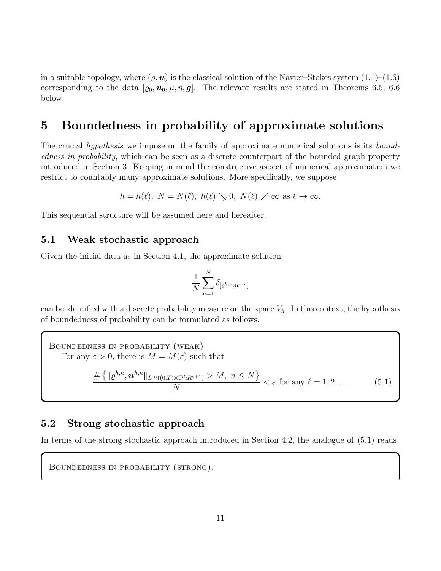in a suitable topology, where  $(\varrho, \mathbf{u})$  is the classical solution of the Navier–Stokes system  $(1.1)$ – $(1.6)$ corresponding to the data  $[\varrho_0, \mathbf{u}_0, \mu, \eta, \mathbf{g}]$ . The relevant results are stated in Theorems 6.5, 6.6 below.

## 5 Boundedness in probability of approximate solutions

The crucial *hypothesis* we impose on the family of approximate numerical solutions is its *bound*edness in probability, which can be seen as a discrete counterpart of the bounded graph property introduced in Section 3. Keeping in mind the constructive aspect of numerical approximation we restrict to countably many approximate solutions. More specifically, we suppose

$$
h = h(\ell), N = N(\ell), h(\ell) \searrow 0, N(\ell) \nearrow \infty \text{ as } \ell \to \infty.
$$

This sequential structure will be assumed here and hereafter.

#### 5.1 Weak stochastic approach

Given the initial data as in Section 4.1, the approximate solution

$$
\frac{1}{N}\sum_{n=1}^N \delta_{[\varrho^{h,n},\boldsymbol{u}^{h,n}]}
$$

can be identified with a discrete probability measure on the space  $V_h$ . In this context, the hypothesis of boundedness of probability can be formulated as follows.

Boundedness in probability (weak). For any  $\varepsilon > 0$ , there is  $M = M(\varepsilon)$  such that  $\# \left\{ \|{\varrho}^{h,n},\bm{u}^{h,n}\|_{L^\infty((0,T)\times\mathbb{T}^d;R^{d+1})} > M,\; n\le N \right\}$ N  $\epsilon \in \text{for any } \ell = 1, 2, \ldots$  (5.1)

#### 5.2 Strong stochastic approach

In terms of the strong stochastic approach introduced in Section 4.2, the analogue of (5.1) reads

Boundedness in probability (strong).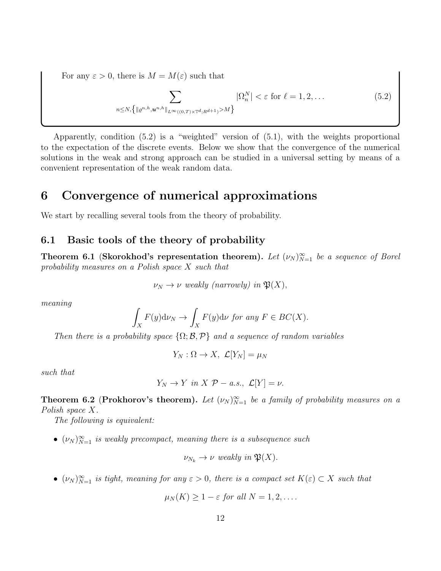For any  $\varepsilon > 0$ , there is  $M = M(\varepsilon)$  such that

$$
\sum_{n \le N, \{| \varrho^{n,h}, \mathbf{u}^{n,h} \|_{L^{\infty}((0,T)\times \mathbb{T}^d; R^{d+1})} > M \}} |\Omega_n^N| < \varepsilon \text{ for } \ell = 1, 2, \dots \tag{5.2}
$$

Apparently, condition (5.2) is a "weighted" version of (5.1), with the weights proportional to the expectation of the discrete events. Below we show that the convergence of the numerical solutions in the weak and strong approach can be studied in a universal setting by means of a convenient representation of the weak random data.

## 6 Convergence of numerical approximations

We start by recalling several tools from the theory of probability.

#### 6.1 Basic tools of the theory of probability

**Theorem 6.1 (Skorokhod's representation theorem).** Let  $(\nu_N)_{N=1}^{\infty}$  be a sequence of Borel probability measures on a Polish space X such that

$$
\nu_N \to \nu
$$
 weakly (narrowly) in  $\mathfrak{P}(X)$ ,

meaning

$$
\int_X F(y) \mathrm{d} \nu_N \to \int_X F(y) \mathrm{d} \nu \text{ for any } F \in BC(X).
$$

Then there is a probability space  $\{\Omega; \mathcal{B}, \mathcal{P}\}\$  and a sequence of random variables

$$
Y_N: \Omega \to X, \ \mathcal{L}[Y_N] = \mu_N
$$

such that

$$
Y_N \to Y \text{ in } X \text{ } \mathcal{P}-a.s., \text{ } \mathcal{L}[Y] = \nu.
$$

**Theorem 6.2 (Prokhorov's theorem).** Let  $(\nu_N)_{N=1}^{\infty}$  be a family of probability measures on a Polish space X.

The following is equivalent:

•  $(\nu_N)_{N=1}^{\infty}$  is weakly precompact, meaning there is a subsequence such

$$
\nu_{N_k} \to \nu
$$
 weakly in  $\mathfrak{P}(X)$ .

•  $(\nu_N)_{N=1}^{\infty}$  is tight, meaning for any  $\varepsilon > 0$ , there is a compact set  $K(\varepsilon) \subset X$  such that

$$
\mu_N(K) \geq 1 - \varepsilon \text{ for all } N = 1, 2, \dots
$$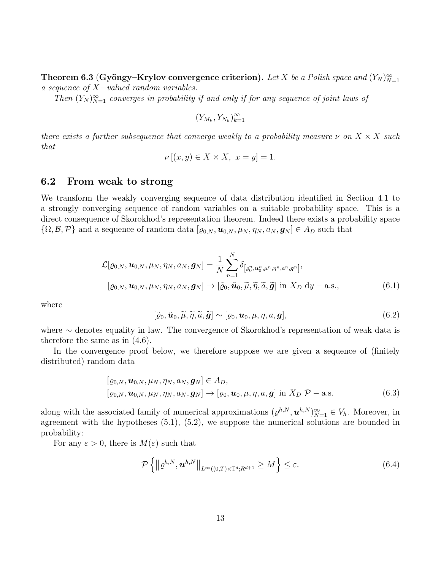Theorem 6.3 (Gyöngy–Krylov convergence criterion). Let X be a Polish space and  $(Y_N)_{N=1}^{\infty}$ a sequence of X−valued random variables.

Then  $(Y_N)_{N=1}^{\infty}$  converges in probability if and only if for any sequence of joint laws of

$$
(Y_{M_k}, Y_{N_k})_{k=1}^\infty
$$

there exists a further subsequence that converge weakly to a probability measure  $\nu$  on  $X \times X$  such that

$$
\nu [(x, y) \in X \times X, x = y] = 1.
$$

#### 6.2 From weak to strong

We transform the weakly converging sequence of data distribution identified in Section 4.1 to a strongly converging sequence of random variables on a suitable probability space. This is a direct consequence of Skorokhod's representation theorem. Indeed there exists a probability space  $\{\Omega, \mathcal{B}, \mathcal{P}\}\$ and a sequence of random data  $[\varrho_{0,N}, \pmb{u}_{0,N}, \mu_N, \eta_N, \pmb{a}_N, \pmb{g}_N] \in A_D$  such that

$$
\mathcal{L}[\varrho_{0,N}, \boldsymbol{u}_{0,N}, \mu_N, \eta_N, a_N, \boldsymbol{g}_N] = \frac{1}{N} \sum_{n=1}^N \delta_{\left[\varrho_0^n, \boldsymbol{u}_0^n, \mu^n, \eta^n, a^n, \boldsymbol{g}^n\right]},
$$
\n
$$
[\varrho_{0,N}, \boldsymbol{u}_{0,N}, \mu_N, \eta_N, a_N, \boldsymbol{g}_N] \to [\tilde{\varrho}_0, \tilde{\boldsymbol{u}}_0, \tilde{\mu}, \tilde{\eta}, \tilde{a}, \tilde{\boldsymbol{g}}] \text{ in } X_D \text{ dy}-\text{a.s.},
$$
\n(6.1)

where

$$
[\tilde{\varrho}_0, \tilde{\boldsymbol{u}}_0, \tilde{\mu}, \tilde{\eta}, \tilde{a}, \tilde{\boldsymbol{g}}] \sim [\varrho_0, \boldsymbol{u}_0, \mu, \eta, a, \boldsymbol{g}], \tag{6.2}
$$

where ∼ denotes equality in law. The convergence of Skorokhod's representation of weak data is therefore the same as in (4.6).

In the convergence proof below, we therefore suppose we are given a sequence of (finitely distributed) random data

$$
[\varrho_{0,N}, \boldsymbol{u}_{0,N}, \mu_N, \eta_N, a_N, \boldsymbol{g}_N] \in A_D,[\varrho_{0,N}, \boldsymbol{u}_{0,N}, \mu_N, \eta_N, a_N, \boldsymbol{g}_N] \to [\varrho_{0}, \boldsymbol{u}_{0}, \mu, \eta, a, \boldsymbol{g}] \text{ in } X_D \; \mathcal{P}-\text{a.s.}
$$
(6.3)

along with the associated family of numerical approximations  $(\varrho^{h,N}, \mathbf{u}^{h,N})_{N=1}^{\infty} \in V_h$ . Moreover, in agreement with the hypotheses (5.1), (5.2), we suppose the numerical solutions are bounded in probability:

For any  $\varepsilon > 0$ , there is  $M(\varepsilon)$  such that

$$
\mathcal{P}\left\{\left\|\varrho^{h,N},\boldsymbol{u}^{h,N}\right\|_{L^{\infty}((0,T)\times\mathbb{T}^d;R^{d+1}}\geq M\right\}\leq\varepsilon.\tag{6.4}
$$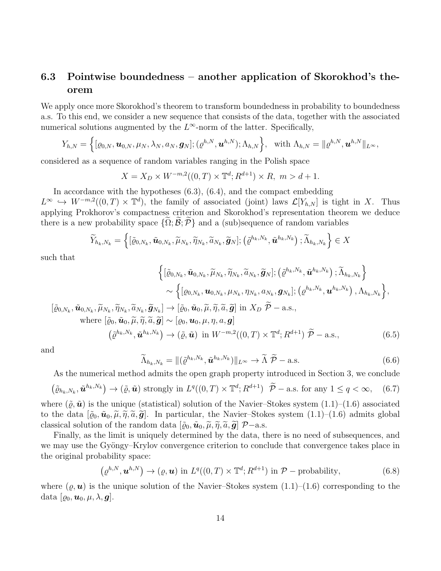### 6.3 Pointwise boundedness – another application of Skorokhod's theorem

We apply once more Skorokhod's theorem to transform boundedness in probability to boundedness a.s. To this end, we consider a new sequence that consists of the data, together with the associated numerical solutions augmented by the  $L^{\infty}$ -norm of the latter. Specifically,

$$
Y_{h,N} = \left\{ [\varrho_{0,N}, \boldsymbol{u}_{0,N}, \mu_N, \lambda_N, a_N, \boldsymbol{g}_N]; (\varrho^{h,N}, \boldsymbol{u}^{h,N}); \Lambda_{h,N} \right\}, \text{ with } \Lambda_{h,N} = \|\varrho^{h,N}, \boldsymbol{u}^{h,N}\|_{L^\infty},
$$

considered as a sequence of random variables ranging in the Polish space

$$
X = X_D \times W^{-m,2}((0,T) \times \mathbb{T}^d; R^{d+1}) \times R, \ m > d+1.
$$

In accordance with the hypotheses  $(6.3)$ ,  $(6.4)$ , and the compact embedding  $L^{\infty} \hookrightarrow W^{-m,2}((0,T) \times \mathbb{T}^d)$ , the family of associated (joint) laws  $\mathcal{L}[Y_{h,N}]$  is tight in X. Thus applying Prokhorov's compactness criterion and Skorokhod's representation theorem we deduce there is a new probability space  $\{\Omega; \mathcal{B}; \mathcal{P}\}\$  and a (sub)sequence of random variables

$$
\widetilde{Y}_{h_k,N_k} = \left\{ [\widetilde{\varrho}_{0,N_k},\widetilde{\boldsymbol{u}}_{0,N_k},\widetilde{\mu}_{N_k},\widetilde{\eta}_{N_k},\widetilde{a}_{N_k},\widetilde{\boldsymbol{g}}_N]; \left(\widetilde{\varrho}^{h_k,N_k},\widetilde{\boldsymbol{u}}^{h_k,N_k}\right);\widetilde{\Lambda}_{h_k,N_k} \right\} \in X
$$

such that

 $\left[\tilde{\varrho}_{0,N_k},\right]$ 

$$
\left\{ [\tilde{\varrho}_{0,N_k}, \tilde{\mathbf{u}}_{0,N_k}, \tilde{\eta}_{N_k}, \tilde{\eta}_{N_k}, \tilde{\mathbf{a}}_{N_k}, \tilde{\mathbf{g}}_{N}]; (\tilde{\varrho}^{h_k, N_k}, \tilde{\mathbf{u}}^{h_k, N_k}) ; \tilde{\Lambda}_{h_k, N_k} \right\} \sim \left\{ [\varrho_{0,N_k}, \mathbf{u}_{0,N_k}, \mu_{N_k}, \eta_{N_k}, a_{N_k}, \mathbf{g}_{N_k}]; (\varrho^{h_k, N_k}, \mathbf{u}^{h_k, N_k}) , \Lambda_{h_k, N_k} \right\},
$$

$$
\tilde{\mathbf{u}}_{0,N_k}, \tilde{\mu}_{N_k}, \tilde{\eta}_{N_k}, \tilde{\mathbf{a}}_{N_k}, \tilde{\mathbf{g}}_{N_k}] \to [\tilde{\varrho}_0, \tilde{\mathbf{u}}_0, \tilde{\mu}, \tilde{\eta}, \tilde{\mathbf{a}}, \tilde{\mathbf{g}}] \text{ in } X_D \tilde{\mathcal{P}} - \text{a.s.,}
$$
  
where  $[\tilde{\varrho}_0, \tilde{\mathbf{u}}_0, \tilde{\mu}, \tilde{\eta}, \tilde{\mathbf{a}}, \tilde{\mathbf{g}}] \sim [\varrho_0, \mathbf{u}_0, \mu, \eta, a, \mathbf{g}]$ 
$$
(\tilde{\varrho}^{h_k, N_k}, \tilde{\mathbf{u}}^{h_k, N_k}) \to (\tilde{\varrho}, \tilde{\mathbf{u}}) \text{ in } W^{-m,2}((0,T) \times \mathbb{T}^d; R^{d+1}) \tilde{\mathcal{P}} - \text{a.s.,}
$$
(6.5)

and

$$
\widetilde{\Lambda}_{h_k,N_k} = \| (\widetilde{\varrho}^{h_k,N_k}, \widetilde{\boldsymbol{u}}^{h_k,N_k}) \|_{L^\infty} \to \widetilde{\Lambda} \widetilde{\mathcal{P}} - \text{a.s.}
$$
\n(6.6)

As the numerical method admits the open graph property introduced in Section 3, we conclude

$$
\left(\tilde{\varrho}_{h_k,N_k}, \tilde{\boldsymbol{u}}^{h_k,N_k}\right) \to \left(\tilde{\varrho}, \tilde{\boldsymbol{u}}\right) \text{ strongly in } L^q((0,T) \times \mathbb{T}^d; R^{d+1}) \quad \tilde{\mathcal{P}}-\text{a.s. for any } 1 \le q < \infty, \quad (6.7)
$$

where  $(\tilde{\varrho},\tilde{\boldsymbol{u}})$  is the unique (statistical) solution of the Navier–Stokes system  $(1.1)$ – $(1.6)$  associated to the data  $[\tilde{\varrho}_0, \tilde{\mathbf{u}}_0, \tilde{\mu}, \tilde{\eta}, \tilde{\alpha}, \tilde{\mathbf{g}}]$ . In particular, the Navier–Stokes system  $(1.1)$ – $(1.6)$  admits global classical solution of the random data  $[\tilde{\varrho}_0, \tilde{\mathbf{u}}_0, \tilde{\mu}, \tilde{\eta}, \tilde{\alpha}, \tilde{\mathbf{g}}]$   $\mathcal{P}-a.s.$ 

Finally, as the limit is uniquely determined by the data, there is no need of subsequences, and we may use the Gyöngy–Krylov convergence criterion to conclude that convergence takes place in the original probability space:

$$
\left(\varrho^{h,N}, \boldsymbol{u}^{h,N}\right) \to \left(\varrho, \boldsymbol{u}\right) \text{ in } L^q((0,T) \times \mathbb{T}^d; R^{d+1}) \text{ in } \mathcal{P}-\text{probability},\tag{6.8}
$$

where  $(\varrho, \mathbf{u})$  is the unique solution of the Navier–Stokes system  $(1.1)$ – $(1.6)$  corresponding to the data  $[\varrho_0, \boldsymbol{u}_0, \mu, \lambda, \boldsymbol{g}].$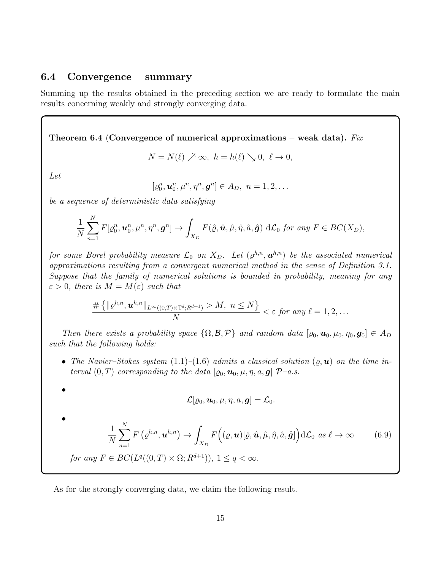#### 6.4 Convergence – summary

Summing up the results obtained in the preceding section we are ready to formulate the main results concerning weakly and strongly converging data.

Theorem 6.4 (Convergence of numerical approximations – weak data). Fix

$$
N = N(\ell) \nearrow \infty, \ h = h(\ell) \searrow 0, \ \ell \to 0,
$$

Let

•

•

$$
[\varrho_0^n, \mathbf{u}_0^n, \mu^n, \eta^n, \mathbf{g}^n] \in A_D, \ n = 1, 2, \dots
$$

be a sequence of deterministic data satisfying

$$
\frac{1}{N}\sum_{n=1}^N F[\varrho_0^n, \mathbf{u}_0^n, \mu^n, \eta^n, \mathbf{g}^n] \to \int_{X_D} F(\hat{\varrho}, \hat{\mathbf{u}}, \hat{\mu}, \hat{\eta}, \hat{a}, \hat{\mathbf{g}}) d\mathcal{L}_0 \text{ for any } F \in BC(X_D),
$$

for some Borel probability measure  $\mathcal{L}_0$  on  $X_D$ . Let  $(\varrho^{h,n}, \bm{u}^{h,n})$  be the associated numerical approximations resulting from a convergent numerical method in the sense of Definition 3.1. Suppose that the family of numerical solutions is bounded in probability, meaning for any  $\varepsilon > 0$ , there is  $M = M(\varepsilon)$  such that

$$
\frac{\#\left\{\|\varrho^{h,n},\boldsymbol{u}^{h,n}\|_{L^{\infty}((0,T)\times\mathbb{T}^d;R^{d+1})}>M,\ n\leq N\right\}}{N}<\varepsilon\ \text{for any}\ \ell=1,2,\ldots
$$

Then there exists a probability space  $\{\Omega, \mathcal{B}, \mathcal{P}\}\$  and random data  $[\varrho_0, \mathbf{u}_0, \mu_0, \eta_0, \mathbf{g}_0] \in A_D$ such that the following holds:

• The Navier–Stokes system  $(1.1)$ – $(1.6)$  admits a classical solution  $(\rho, \mathbf{u})$  on the time interval  $(0, T)$  corresponding to the data  $[\varrho_0, \mathbf{u}_0, \mu, \eta, a, \mathbf{g}]$   $\mathcal{P}-a.s.$ 

$$
\mathcal{L}[\varrho_0, \bm{u}_0, \mu, \eta, a, \bm{g}] = \mathcal{L}_0.
$$

1 N  $\sum$ N  $n=1$  $F\left(\varrho^{h,n},\bm{u}^{h,n}\right)\rightarrow\bm{\mathcal{L}}$  $X_D$  $F((\varrho, \mathbf{u})[\hat{\varrho}, \hat{\mathbf{u}}, \hat{\mu}, \hat{\eta}, \hat{a}, \hat{\mathbf{g}}]) d\mathcal{L}_0 \text{ as } \ell \to \infty$  (6.9) for any  $F \in BC(L^q((0,T) \times \Omega; R^{d+1})), 1 \leq q < \infty$ .

As for the strongly converging data, we claim the following result.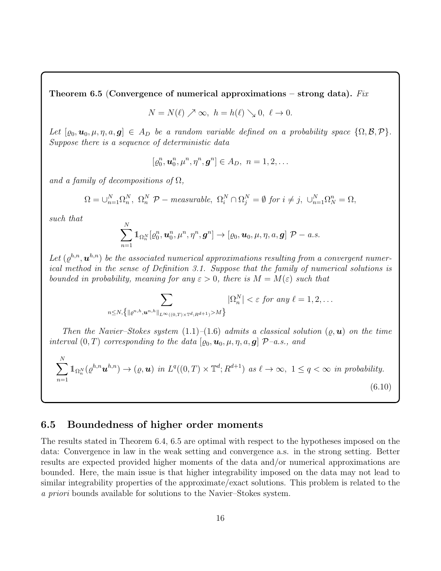Theorem 6.5 (Convergence of numerical approximations – strong data). Fix

$$
N = N(\ell) \nearrow \infty, \ h = h(\ell) \searrow 0, \ \ell \to 0.
$$

Let  $[\varrho_0, \mathbf{u}_0, \mu, \eta, a, \mathbf{g}] \in A_D$  be a random variable defined on a probability space  $\{\Omega, \mathcal{B}, \mathcal{P}\}.$ Suppose there is a sequence of deterministic data

$$
[\varrho_0^n, \mathbf{u}_0^n, \mu^n, \eta^n, \mathbf{g}^n] \in A_D, \ n = 1, 2, \dots
$$

and a family of decompositions of  $\Omega$ ,

$$
\Omega = \cup_{n=1}^N \Omega_n^N, \ \Omega_n^N \ \mathcal{P} - measurable, \ \Omega_i^N \cap \Omega_j^N = \emptyset \ \text{for} \ i \neq j, \ \cup_{n=1}^N \Omega_N^n = \Omega,
$$

such that

$$
\sum_{n=1}^N 1\!\!1_{\Omega_n^N}[\varrho_0^n,{\boldsymbol{u}}_0^n,{\boldsymbol{\mu}}^n,{\boldsymbol{\eta}}^n,{\boldsymbol{g}}^n]\to[\varrho_0,{\boldsymbol{u}}_0,{\boldsymbol{\mu}},\eta,a,{\boldsymbol{g}}]\;{\boldsymbol{\mathcal{P}}}-a.s.
$$

Let  $(\varrho^{h,n}, \boldsymbol{u}^{h,n})$  be the associated numerical approximations resulting from a convergent numerical method in the sense of Definition 3.1. Suppose that the family of numerical solutions is bounded in probability, meaning for any  $\varepsilon > 0$ , there is  $M = M(\varepsilon)$  such that

$$
\sum_{n\leq N,\left\{\|\varrho^{n,h},\boldsymbol{u}^{n,h}\|_{L^{\infty}((0,T)\times\mathbb{T}^d;R^{d+1})}>M\right\}}|\Omega_n^N|<\varepsilon\,\text{ for any }\ell=1,2,\ldots
$$

Then the Navier–Stokes system  $(1.1)$ – $(1.6)$  admits a classical solution  $(\rho, \mathbf{u})$  on the time interval  $(0, T)$  corresponding to the data  $[\rho_0, \mathbf{u}_0, \mu, \eta, a, \mathbf{g}]$   $\mathcal{P}-a.s.,$  and

$$
\sum_{n=1}^{N} \mathbb{1}_{\Omega_n^N}(\varrho^{h,n} \mathbf{u}^{h,n}) \to (\varrho, \mathbf{u}) \text{ in } L^q((0,T) \times \mathbb{T}^d; R^{d+1}) \text{ as } \ell \to \infty, 1 \le q < \infty \text{ in probability.}
$$
\n
$$
(6.10)
$$

#### 6.5 Boundedness of higher order moments

The results stated in Theorem 6.4, 6.5 are optimal with respect to the hypotheses imposed on the data: Convergence in law in the weak setting and convergence a.s. in the strong setting. Better results are expected provided higher moments of the data and/or numerical approximations are bounded. Here, the main issue is that higher integrability imposed on the data may not lead to similar integrability properties of the approximate/exact solutions. This problem is related to the a priori bounds available for solutions to the Navier–Stokes system.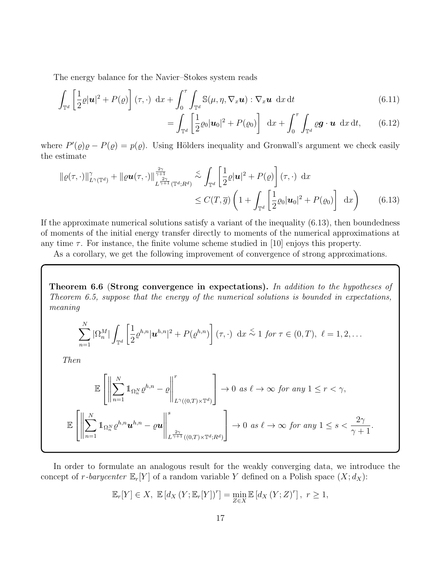The energy balance for the Navier–Stokes system reads

$$
\int_{\mathbb{T}^d} \left[ \frac{1}{2} \varrho |u|^2 + P(\varrho) \right] (\tau, \cdot) dx + \int_0^{\tau} \int_{\mathbb{T}^d} \mathbb{S}(\mu, \eta, \nabla_x \mathbf{u}) : \nabla_x \mathbf{u} dx dt \tag{6.11}
$$

$$
= \int_{\mathbb{T}^d} \left[ \frac{1}{2} \varrho_0 |\boldsymbol{u}_0|^2 + P(\varrho_0) \right] d\boldsymbol{x} + \int_0^{\tau} \int_{\mathbb{T}^d} \varrho \boldsymbol{g} \cdot \boldsymbol{u} d\boldsymbol{x} dt, \qquad (6.12)
$$

where  $P'(\rho)\rho - P(\rho) = p(\rho)$ . Using Hölders inequality and Gronwall's argument we check easily the estimate

$$
\|\varrho(\tau,\cdot)\|_{L^{\gamma}(\mathbb{T}^d)}^{\gamma} + \|\varrho \mathbf{u}(\tau,\cdot)\|_{L^{\frac{2\gamma}{\gamma+1}}(\mathbb{T}^d;R^d)}^{\frac{2\gamma}{\gamma+1}} \lesssim \int_{\mathbb{T}^d} \left[ \frac{1}{2} \varrho |\mathbf{u}|^2 + P(\varrho) \right] (\tau,\cdot) \, \mathrm{d}x
$$
  
\$\leq C(T,\overline{g}) \left(1 + \int\_{\mathbb{T}^d} \left[ \frac{1}{2} \varrho\_0 |\mathbf{u}\_0|^2 + P(\varrho\_0) \right] \, \mathrm{d}x \right) \tag{6.13}

If the approximate numerical solutions satisfy a variant of the inequality (6.13), then boundedness of moments of the initial energy transfer directly to moments of the numerical approximations at any time  $\tau$ . For instance, the finite volume scheme studied in [10] enjoys this property.

As a corollary, we get the following improvement of convergence of strong approximations.

Theorem 6.6 (Strong convergence in expectations). In addition to the hypotheses of Theorem 6.5, suppose that the energy of the numerical solutions is bounded in expectations, meaning

$$
\sum_{n=1}^{N} |\Omega_n^M| \int_{\mathbb{T}^d} \left[ \frac{1}{2} \varrho^{h,n} |\mathbf{u}^{h,n}|^2 + P(\varrho^{h,n}) \right] (\tau, \cdot) dx \stackrel{\leq}{\sim} 1 \text{ for } \tau \in (0, T), \ \ell = 1, 2, \dots
$$

Then

$$
\mathbb{E}\left[\left\|\sum_{n=1}^N 1\!\!1_{\Omega_n^N} \varrho^{h,n} - \varrho\right\|_{L^\gamma((0,T)\times\mathbb{T}^d)}^r\right] \to 0 \text{ as } \ell \to \infty \text{ for any } 1 \leq r < \gamma,
$$
\n
$$
\mathbb{E}\left[\left\|\sum_{n=1}^N 1\!\!1_{\Omega_n^N} \varrho^{h,n} \mathbf{u}^{h,n} - \varrho \mathbf{u}\right\|_{L^{\frac{2\gamma}{\gamma+1}}((0,T)\times\mathbb{T}^d;R^d)}^s\right] \to 0 \text{ as } \ell \to \infty \text{ for any } 1 \leq s < \frac{2\gamma}{\gamma+1}.
$$

In order to formulate an analogous result for the weakly converging data, we introduce the concept of r-barycenter  $\mathbb{E}_r[Y]$  of a random variable Y defined on a Polish space  $(X; d_X)$ :

$$
\mathbb{E}_r[Y] \in X, \ \mathbb{E}\left[d_X\left(Y; \mathbb{E}_r[Y]\right)^r\right] = \min_{Z \in X} \mathbb{E}\left[d_X\left(Y; Z\right)^r\right], \ r \ge 1,
$$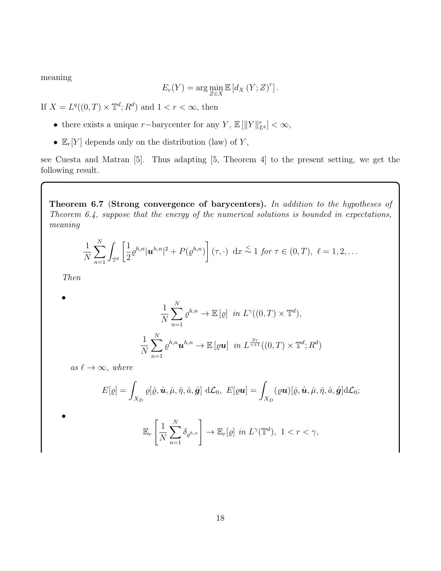meaning

$$
E_r(Y) = \arg\min_{Z \in X} \mathbb{E} \left[ d_X(Y;Z)^r \right].
$$

If  $X = L^q((0, T) \times \mathbb{T}^d; R^d)$  and  $1 < r < \infty$ , then

- there exists a unique r-barycenter for any Y,  $\mathbb{E} [||Y||_{L^q}^r] < \infty$ ,
- $\mathbb{E}_r[Y]$  depends only on the distribution (law) of Y,

see Cuesta and Matran [5]. Thus adapting [5, Theorem 4] to the present setting, we get the following result.

Theorem 6.7 (Strong convergence of barycenters). In addition to the hypotheses of Theorem 6.4, suppose that the energy of the numerical solutions is bounded in expectations, meaning

$$
\frac{1}{N}\sum_{n=1}^N \int_{\mathbb{T}^d} \left[ \frac{1}{2} \varrho^{h,n} |\mathbf{u}^{h,n}|^2 + P(\varrho^{h,n}) \right] (\tau, \cdot) \, dx \stackrel{\leq}{\sim} 1 \text{ for } \tau \in (0,T), \ \ell = 1,2,\ldots
$$

Then

•

•

$$
\frac{1}{N} \sum_{n=1}^{N} \varrho^{h,n} \to \mathbb{E}\left[\varrho\right] \text{ in } L^{\gamma}((0,T) \times \mathbb{T}^{d}),
$$

$$
\frac{1}{N} \sum_{n=1}^{N} \varrho^{h,n} \mathbf{u}^{h,n} \to \mathbb{E}\left[\varrho \mathbf{u}\right] \text{ in } L^{\frac{2\gamma}{\gamma+1}}((0,T) \times \mathbb{T}^{d}; R^{d})
$$

as  $\ell \to \infty$ , where

$$
E[\varrho] = \int_{X_D} \varrho[\hat{\varrho}, \hat{\boldsymbol{u}}, \hat{\mu}, \hat{\eta}, \hat{a}, \hat{\boldsymbol{g}}] d\mathcal{L}_0, \ E[\varrho \boldsymbol{u}] = \int_{X_D} (\varrho \boldsymbol{u})[\hat{\varrho}, \hat{\boldsymbol{u}}, \hat{\mu}, \hat{\eta}, \hat{a}, \hat{\boldsymbol{g}}] d\mathcal{L}_0;
$$
  

$$
\mathbb{E}_r \left[ \frac{1}{N} \sum_{n=1}^N \delta_{\varrho^{h,n}} \right] \to \mathbb{E}_r[\varrho] \text{ in } L^{\gamma}(\mathbb{T}^d), \ 1 < r < \gamma,
$$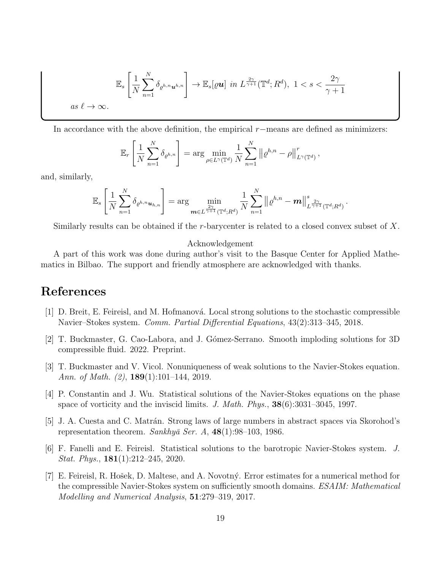$$
\mathbb{E}_{s}\left[\frac{1}{N}\sum_{n=1}^{N}\delta_{\varrho^{h,n}\mathbf{u}^{h,n}}\right] \to \mathbb{E}_{s}[\varrho\mathbf{u}] \text{ in } L^{\frac{2\gamma}{\gamma+1}}(\mathbb{T}^{d};R^{d}), \ 1 < s < \frac{2\gamma}{\gamma+1}
$$
\nas  $\ell \to \infty$ .

In accordance with the above definition, the empirical  $r$ −means are defined as minimizers:

$$
\mathbb{E}_r\left[\frac{1}{N}\sum_{n=1}^N \delta_{\varrho^{h,n}}\right] = \arg\min_{\rho\in L^\gamma(\mathbb{T}^d)}\frac{1}{N}\sum_{n=1}^N \left\|\varrho^{h,n} - \rho\right\|_{L^\gamma(\mathbb{T}^d)}^r,
$$

and, similarly,

$$
\mathbb{E}_s\left[\frac{1}{N}\sum_{n=1}^N \delta_{\varrho^{h,n}\boldsymbol{u}_{h,n}}\right] = \arg\min_{\boldsymbol{m}\in L^{\frac{2\gamma}{\gamma+1}}(\mathbb{T}^d;R^d)}\frac{1}{N}\sum_{n=1}^N\left\|\varrho^{h,n}-\boldsymbol{m}\right\|_{L^{\frac{2\gamma}{\gamma+1}}(\mathbb{T}^d;R^d)}^s.
$$

Similarly results can be obtained if the r-barycenter is related to a closed convex subset of X.

#### Acknowledgement

A part of this work was done during author's visit to the Basque Center for Applied Mathematics in Bilbao. The support and friendly atmosphere are acknowledged with thanks.

## References

- $[1]$  D. Breit, E. Feireisl, and M. Hofmanová. Local strong solutions to the stochastic compressible Navier–Stokes system. Comm. Partial Differential Equations, 43(2):313–345, 2018.
- [2] T. Buckmaster, G. Cao-Labora, and J. G´omez-Serrano. Smooth imploding solutions for 3D compressible fluid. 2022. Preprint.
- [3] T. Buckmaster and V. Vicol. Nonuniqueness of weak solutions to the Navier-Stokes equation. Ann. of Math.  $(2)$ , 189 $(1)$ :101–144, 2019.
- [4] P. Constantin and J. Wu. Statistical solutions of the Navier-Stokes equations on the phase space of vorticity and the inviscid limits. J. Math. Phys.,  $38(6):3031-3045$ , 1997.
- [5] J. A. Cuesta and C. Matrán. Strong laws of large numbers in abstract spaces via Skorohod's representation theorem. Sankhyā Ser. A,  $48(1):98-103$ , 1986.
- [6] F. Fanelli and E. Feireisl. Statistical solutions to the barotropic Navier-Stokes system. J. Stat. Phys., 181(1):212–245, 2020.
- [7] E. Feireisl, R. Hošek, D. Maltese, and A. Novotný. Error estimates for a numerical method for the compressible Navier-Stokes system on sufficiently smooth domains. ESAIM: Mathematical Modelling and Numerical Analysis, 51:279–319, 2017.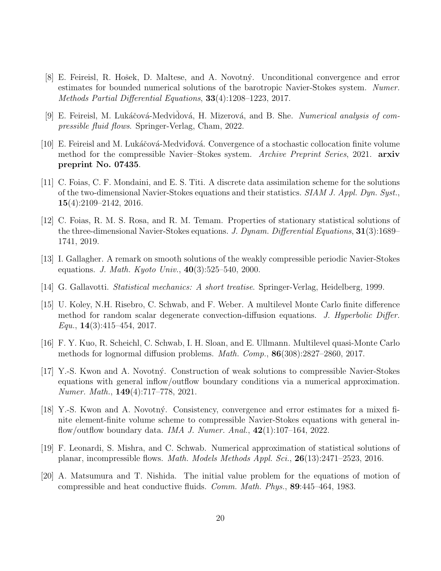- [8] E. Feireisl, R. Hošek, D. Maltese, and A. Novotný. Unconditional convergence and error estimates for bounded numerical solutions of the barotropic Navier-Stokes system. Numer. Methods Partial Differential Equations,  $33(4):1208-1223$ , 2017.
- [9] E. Feireisl, M. Lukáčová-Medvidová, H. Mizerová, and B. She. Numerical analysis of compressible fluid flows. Springer-Verlag, Cham, 2022.
- [10] E. Feireisl and M. Lukáčová-Medvidová. Convergence of a stochastic collocation finite volume method for the compressible Navier–Stokes system. Archive Preprint Series, 2021. arxiv preprint No. 07435.
- [11] C. Foias, C. F. Mondaini, and E. S. Titi. A discrete data assimilation scheme for the solutions of the two-dimensional Navier-Stokes equations and their statistics.  $SIAM J.$  Appl. Dyn. Syst., 15(4):2109–2142, 2016.
- [12] C. Foias, R. M. S. Rosa, and R. M. Temam. Properties of stationary statistical solutions of the three-dimensional Navier-Stokes equations. J. Dynam. Differential Equations, 31(3):1689– 1741, 2019.
- [13] I. Gallagher. A remark on smooth solutions of the weakly compressible periodic Navier-Stokes equations. *J. Math. Kyoto Univ.*,  $40(3):525-540$ , 2000.
- [14] G. Gallavotti. Statistical mechanics: A short treatise. Springer-Verlag, Heidelberg, 1999.
- [15] U. Koley, N.H. Risebro, C. Schwab, and F. Weber. A multilevel Monte Carlo finite difference method for random scalar degenerate convection-diffusion equations. J. Hyperbolic Differ.  $Equ., 14(3):415-454, 2017.$
- [16] F. Y. Kuo, R. Scheichl, C. Schwab, I. H. Sloan, and E. Ullmann. Multilevel quasi-Monte Carlo methods for lognormal diffusion problems. Math. Comp., 86(308):2827–2860, 2017.
- [17] Y.-S. Kwon and A. Novotn´y. Construction of weak solutions to compressible Navier-Stokes equations with general inflow/outflow boundary conditions via a numerical approximation. Numer. Math., 149(4):717–778, 2021.
- [18] Y.-S. Kwon and A. Novotn´y. Consistency, convergence and error estimates for a mixed finite element-finite volume scheme to compressible Navier-Stokes equations with general inflow/outflow boundary data. *IMA J. Numer. Anal.*,  $42(1):107-164$ ,  $2022$ .
- [19] F. Leonardi, S. Mishra, and C. Schwab. Numerical approximation of statistical solutions of planar, incompressible flows. Math. Models Methods Appl. Sci., 26(13):2471–2523, 2016.
- [20] A. Matsumura and T. Nishida. The initial value problem for the equations of motion of compressible and heat conductive fluids. Comm. Math. Phys., 89:445–464, 1983.